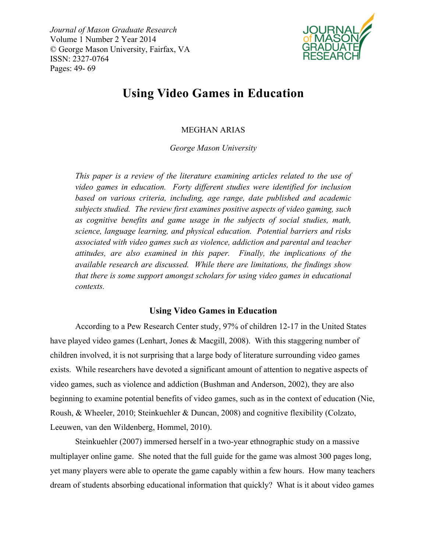*Journal of Mason Graduate Research* Volume 1 Number 2 Year 2014 © George Mason University, Fairfax, VA ISSN: 2327-0764 Pages: 49- 69



# **Using Video Games in Education**

# MEGHAN ARIAS

*George Mason University*

*This paper is a review of the literature examining articles related to the use of video games in education. Forty different studies were identified for inclusion based on various criteria, including, age range, date published and academic subjects studied. The review first examines positive aspects of video gaming, such as cognitive benefits and game usage in the subjects of social studies, math, science, language learning, and physical education. Potential barriers and risks associated with video games such as violence, addiction and parental and teacher attitudes, are also examined in this paper. Finally, the implications of the available research are discussed. While there are limitations, the findings show that there is some support amongst scholars for using video games in educational contexts.*

# **Using Video Games in Education**

According to a Pew Research Center study, 97% of children 12-17 in the United States have played video games (Lenhart, Jones & Macgill, 2008). With this staggering number of children involved, it is not surprising that a large body of literature surrounding video games exists. While researchers have devoted a significant amount of attention to negative aspects of video games, such as violence and addiction (Bushman and Anderson, 2002), they are also beginning to examine potential benefits of video games, such as in the context of education (Nie, Roush, & Wheeler, 2010; Steinkuehler & Duncan, 2008) and cognitive flexibility (Colzato, Leeuwen, van den Wildenberg, Hommel, 2010).

Steinkuehler (2007) immersed herself in a two-year ethnographic study on a massive multiplayer online game. She noted that the full guide for the game was almost 300 pages long, yet many players were able to operate the game capably within a few hours. How many teachers dream of students absorbing educational information that quickly? What is it about video games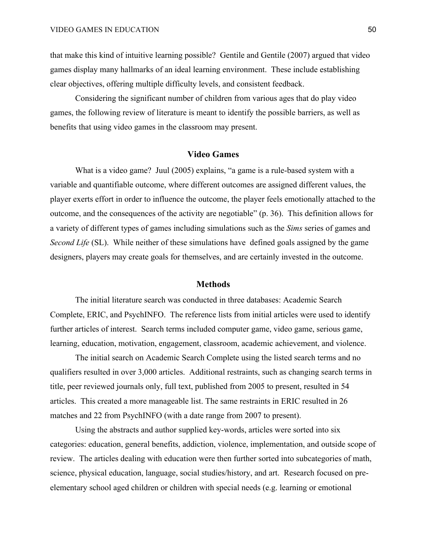that make this kind of intuitive learning possible? Gentile and Gentile (2007) argued that video games display many hallmarks of an ideal learning environment. These include establishing clear objectives, offering multiple difficulty levels, and consistent feedback.

Considering the significant number of children from various ages that do play video games, the following review of literature is meant to identify the possible barriers, as well as benefits that using video games in the classroom may present.

# **Video Games**

What is a video game? Juul (2005) explains, "a game is a rule-based system with a variable and quantifiable outcome, where different outcomes are assigned different values, the player exerts effort in order to influence the outcome, the player feels emotionally attached to the outcome, and the consequences of the activity are negotiable" (p. 36). This definition allows for a variety of different types of games including simulations such as the *Sims* series of games and *Second Life* (SL). While neither of these simulations have defined goals assigned by the game designers, players may create goals for themselves, and are certainly invested in the outcome.

## **Methods**

The initial literature search was conducted in three databases: Academic Search Complete, ERIC, and PsychINFO. The reference lists from initial articles were used to identify further articles of interest. Search terms included computer game, video game, serious game, learning, education, motivation, engagement, classroom, academic achievement, and violence.

The initial search on Academic Search Complete using the listed search terms and no qualifiers resulted in over 3,000 articles. Additional restraints, such as changing search terms in title, peer reviewed journals only, full text, published from 2005 to present, resulted in 54 articles. This created a more manageable list. The same restraints in ERIC resulted in 26 matches and 22 from PsychINFO (with a date range from 2007 to present).

Using the abstracts and author supplied key-words, articles were sorted into six categories: education, general benefits, addiction, violence, implementation, and outside scope of review. The articles dealing with education were then further sorted into subcategories of math, science, physical education, language, social studies/history, and art. Research focused on preelementary school aged children or children with special needs (e.g. learning or emotional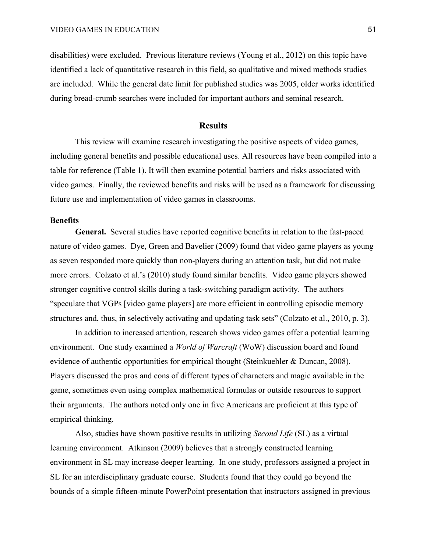disabilities) were excluded. Previous literature reviews (Young et al., 2012) on this topic have identified a lack of quantitative research in this field, so qualitative and mixed methods studies are included. While the general date limit for published studies was 2005, older works identified during bread-crumb searches were included for important authors and seminal research.

#### **Results**

This review will examine research investigating the positive aspects of video games, including general benefits and possible educational uses. All resources have been compiled into a table for reference (Table 1). It will then examine potential barriers and risks associated with video games. Finally, the reviewed benefits and risks will be used as a framework for discussing future use and implementation of video games in classrooms.

#### **Benefits**

**General.** Several studies have reported cognitive benefits in relation to the fast-paced nature of video games. Dye, Green and Bavelier (2009) found that video game players as young as seven responded more quickly than non-players during an attention task, but did not make more errors. Colzato et al.'s (2010) study found similar benefits. Video game players showed stronger cognitive control skills during a task-switching paradigm activity. The authors "speculate that VGPs [video game players] are more efficient in controlling episodic memory structures and, thus, in selectively activating and updating task sets" (Colzato et al., 2010, p. 3).

In addition to increased attention, research shows video games offer a potential learning environment. One study examined a *World of Warcraft* (WoW) discussion board and found evidence of authentic opportunities for empirical thought (Steinkuehler & Duncan, 2008). Players discussed the pros and cons of different types of characters and magic available in the game, sometimes even using complex mathematical formulas or outside resources to support their arguments. The authors noted only one in five Americans are proficient at this type of empirical thinking.

Also, studies have shown positive results in utilizing *Second Life* (SL) as a virtual learning environment. Atkinson (2009) believes that a strongly constructed learning environment in SL may increase deeper learning. In one study, professors assigned a project in SL for an interdisciplinary graduate course. Students found that they could go beyond the bounds of a simple fifteen-minute PowerPoint presentation that instructors assigned in previous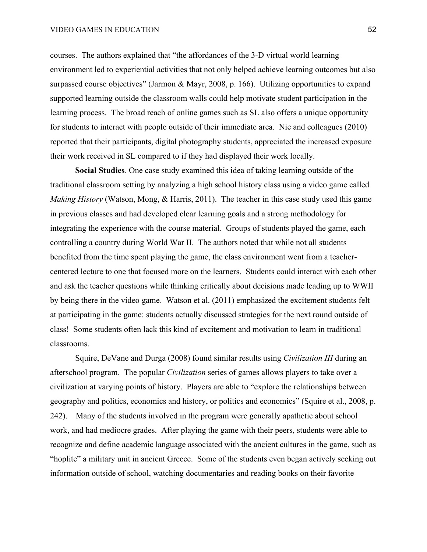#### VIDEO GAMES IN EDUCATION 52

courses. The authors explained that "the affordances of the 3-D virtual world learning environment led to experiential activities that not only helped achieve learning outcomes but also surpassed course objectives" (Jarmon & Mayr, 2008, p. 166). Utilizing opportunities to expand supported learning outside the classroom walls could help motivate student participation in the learning process. The broad reach of online games such as SL also offers a unique opportunity for students to interact with people outside of their immediate area. Nie and colleagues (2010) reported that their participants, digital photography students, appreciated the increased exposure their work received in SL compared to if they had displayed their work locally.

**Social Studies**. One case study examined this idea of taking learning outside of the traditional classroom setting by analyzing a high school history class using a video game called *Making History* (Watson, Mong, & Harris, 2011). The teacher in this case study used this game in previous classes and had developed clear learning goals and a strong methodology for integrating the experience with the course material. Groups of students played the game, each controlling a country during World War II. The authors noted that while not all students benefited from the time spent playing the game, the class environment went from a teachercentered lecture to one that focused more on the learners. Students could interact with each other and ask the teacher questions while thinking critically about decisions made leading up to WWII by being there in the video game. Watson et al. (2011) emphasized the excitement students felt at participating in the game: students actually discussed strategies for the next round outside of class! Some students often lack this kind of excitement and motivation to learn in traditional classrooms.

Squire, DeVane and Durga (2008) found similar results using *Civilization III* during an afterschool program. The popular *Civilization* series of games allows players to take over a civilization at varying points of history. Players are able to "explore the relationships between geography and politics, economics and history, or politics and economics" (Squire et al., 2008, p. 242). Many of the students involved in the program were generally apathetic about school work, and had mediocre grades. After playing the game with their peers, students were able to recognize and define academic language associated with the ancient cultures in the game, such as "hoplite" a military unit in ancient Greece. Some of the students even began actively seeking out information outside of school, watching documentaries and reading books on their favorite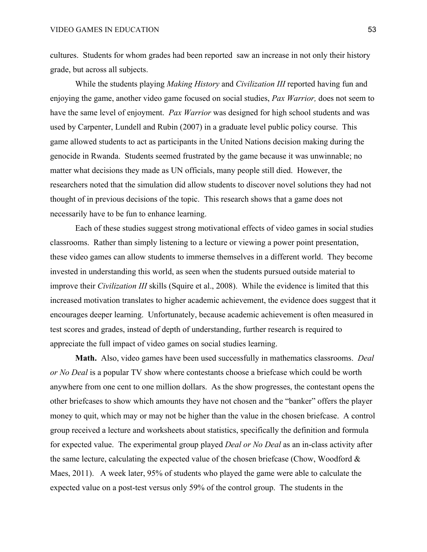cultures. Students for whom grades had been reported saw an increase in not only their history grade, but across all subjects.

While the students playing *Making History* and *Civilization III* reported having fun and enjoying the game, another video game focused on social studies, *Pax Warrior,* does not seem to have the same level of enjoyment. *Pax Warrior* was designed for high school students and was used by Carpenter, Lundell and Rubin (2007) in a graduate level public policy course. This game allowed students to act as participants in the United Nations decision making during the genocide in Rwanda. Students seemed frustrated by the game because it was unwinnable; no matter what decisions they made as UN officials, many people still died. However, the researchers noted that the simulation did allow students to discover novel solutions they had not thought of in previous decisions of the topic. This research shows that a game does not necessarily have to be fun to enhance learning.

Each of these studies suggest strong motivational effects of video games in social studies classrooms. Rather than simply listening to a lecture or viewing a power point presentation, these video games can allow students to immerse themselves in a different world. They become invested in understanding this world, as seen when the students pursued outside material to improve their *Civilization III* skills (Squire et al., 2008). While the evidence is limited that this increased motivation translates to higher academic achievement, the evidence does suggest that it encourages deeper learning. Unfortunately, because academic achievement is often measured in test scores and grades, instead of depth of understanding, further research is required to appreciate the full impact of video games on social studies learning.

**Math.** Also, video games have been used successfully in mathematics classrooms. *Deal or No Deal* is a popular TV show where contestants choose a briefcase which could be worth anywhere from one cent to one million dollars. As the show progresses, the contestant opens the other briefcases to show which amounts they have not chosen and the "banker" offers the player money to quit, which may or may not be higher than the value in the chosen briefcase. A control group received a lecture and worksheets about statistics, specifically the definition and formula for expected value. The experimental group played *Deal or No Deal* as an in-class activity after the same lecture, calculating the expected value of the chosen briefcase (Chow, Woodford  $\&$ Maes, 2011). A week later, 95% of students who played the game were able to calculate the expected value on a post-test versus only 59% of the control group. The students in the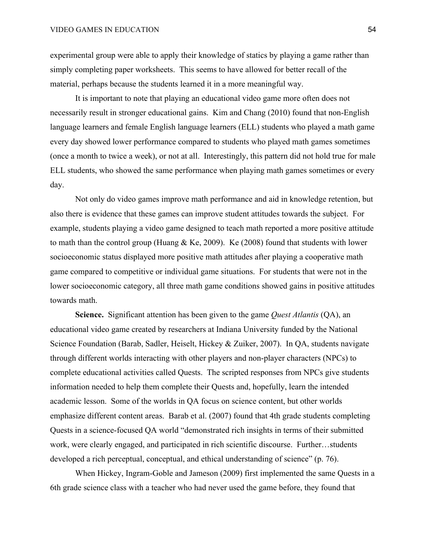experimental group were able to apply their knowledge of statics by playing a game rather than simply completing paper worksheets. This seems to have allowed for better recall of the material, perhaps because the students learned it in a more meaningful way.

It is important to note that playing an educational video game more often does not necessarily result in stronger educational gains. Kim and Chang (2010) found that non-English language learners and female English language learners (ELL) students who played a math game every day showed lower performance compared to students who played math games sometimes (once a month to twice a week), or not at all. Interestingly, this pattern did not hold true for male ELL students, who showed the same performance when playing math games sometimes or every day.

Not only do video games improve math performance and aid in knowledge retention, but also there is evidence that these games can improve student attitudes towards the subject. For example, students playing a video game designed to teach math reported a more positive attitude to math than the control group (Huang  $\&$  Ke, 2009). Ke (2008) found that students with lower socioeconomic status displayed more positive math attitudes after playing a cooperative math game compared to competitive or individual game situations. For students that were not in the lower socioeconomic category, all three math game conditions showed gains in positive attitudes towards math.

**Science.** Significant attention has been given to the game *Quest Atlantis* (QA), an educational video game created by researchers at Indiana University funded by the National Science Foundation (Barab, Sadler, Heiselt, Hickey & Zuiker, 2007). In QA, students navigate through different worlds interacting with other players and non-player characters (NPCs) to complete educational activities called Quests. The scripted responses from NPCs give students information needed to help them complete their Quests and, hopefully, learn the intended academic lesson. Some of the worlds in QA focus on science content, but other worlds emphasize different content areas. Barab et al. (2007) found that 4th grade students completing Quests in a science-focused QA world "demonstrated rich insights in terms of their submitted work, were clearly engaged, and participated in rich scientific discourse. Further…students developed a rich perceptual, conceptual, and ethical understanding of science" (p. 76).

When Hickey, Ingram-Goble and Jameson (2009) first implemented the same Quests in a 6th grade science class with a teacher who had never used the game before, they found that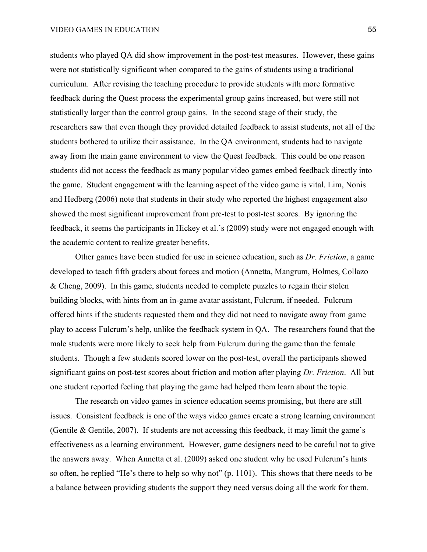students who played QA did show improvement in the post-test measures. However, these gains were not statistically significant when compared to the gains of students using a traditional curriculum. After revising the teaching procedure to provide students with more formative feedback during the Quest process the experimental group gains increased, but were still not statistically larger than the control group gains. In the second stage of their study, the researchers saw that even though they provided detailed feedback to assist students, not all of the students bothered to utilize their assistance. In the QA environment, students had to navigate away from the main game environment to view the Quest feedback. This could be one reason students did not access the feedback as many popular video games embed feedback directly into the game. Student engagement with the learning aspect of the video game is vital. Lim, Nonis and Hedberg (2006) note that students in their study who reported the highest engagement also showed the most significant improvement from pre-test to post-test scores. By ignoring the feedback, it seems the participants in Hickey et al.'s (2009) study were not engaged enough with the academic content to realize greater benefits.

Other games have been studied for use in science education, such as *Dr. Friction*, a game developed to teach fifth graders about forces and motion (Annetta, Mangrum, Holmes, Collazo & Cheng, 2009). In this game, students needed to complete puzzles to regain their stolen building blocks, with hints from an in-game avatar assistant, Fulcrum, if needed. Fulcrum offered hints if the students requested them and they did not need to navigate away from game play to access Fulcrum's help, unlike the feedback system in QA. The researchers found that the male students were more likely to seek help from Fulcrum during the game than the female students. Though a few students scored lower on the post-test, overall the participants showed significant gains on post-test scores about friction and motion after playing *Dr. Friction*. All but one student reported feeling that playing the game had helped them learn about the topic.

The research on video games in science education seems promising, but there are still issues. Consistent feedback is one of the ways video games create a strong learning environment (Gentile & Gentile, 2007). If students are not accessing this feedback, it may limit the game's effectiveness as a learning environment. However, game designers need to be careful not to give the answers away. When Annetta et al. (2009) asked one student why he used Fulcrum's hints so often, he replied "He's there to help so why not" (p. 1101). This shows that there needs to be a balance between providing students the support they need versus doing all the work for them.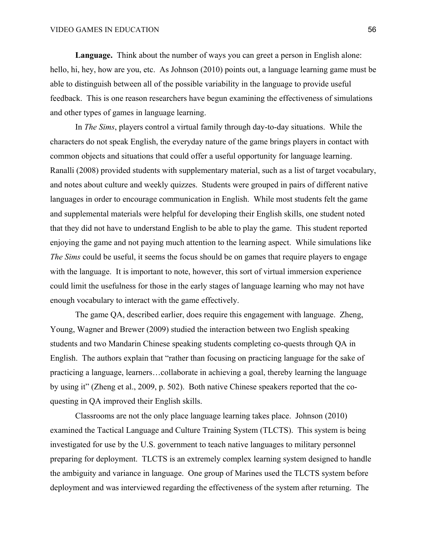**Language.** Think about the number of ways you can greet a person in English alone: hello, hi, hey, how are you, etc. As Johnson (2010) points out, a language learning game must be able to distinguish between all of the possible variability in the language to provide useful feedback. This is one reason researchers have begun examining the effectiveness of simulations and other types of games in language learning.

In *The Sims*, players control a virtual family through day-to-day situations. While the characters do not speak English, the everyday nature of the game brings players in contact with common objects and situations that could offer a useful opportunity for language learning. Ranalli (2008) provided students with supplementary material, such as a list of target vocabulary, and notes about culture and weekly quizzes. Students were grouped in pairs of different native languages in order to encourage communication in English. While most students felt the game and supplemental materials were helpful for developing their English skills, one student noted that they did not have to understand English to be able to play the game. This student reported enjoying the game and not paying much attention to the learning aspect. While simulations like *The Sims* could be useful, it seems the focus should be on games that require players to engage with the language. It is important to note, however, this sort of virtual immersion experience could limit the usefulness for those in the early stages of language learning who may not have enough vocabulary to interact with the game effectively.

The game QA, described earlier, does require this engagement with language. Zheng, Young, Wagner and Brewer (2009) studied the interaction between two English speaking students and two Mandarin Chinese speaking students completing co-quests through QA in English. The authors explain that "rather than focusing on practicing language for the sake of practicing a language, learners…collaborate in achieving a goal, thereby learning the language by using it" (Zheng et al., 2009, p. 502). Both native Chinese speakers reported that the coquesting in QA improved their English skills.

Classrooms are not the only place language learning takes place. Johnson (2010) examined the Tactical Language and Culture Training System (TLCTS). This system is being investigated for use by the U.S. government to teach native languages to military personnel preparing for deployment. TLCTS is an extremely complex learning system designed to handle the ambiguity and variance in language. One group of Marines used the TLCTS system before deployment and was interviewed regarding the effectiveness of the system after returning. The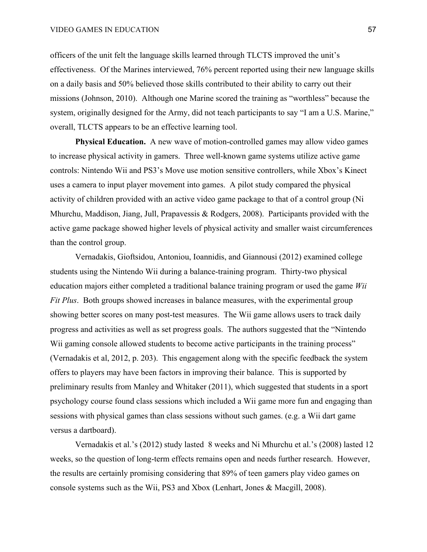officers of the unit felt the language skills learned through TLCTS improved the unit's effectiveness. Of the Marines interviewed, 76% percent reported using their new language skills on a daily basis and 50% believed those skills contributed to their ability to carry out their missions (Johnson, 2010). Although one Marine scored the training as "worthless" because the system, originally designed for the Army, did not teach participants to say "I am a U.S. Marine," overall, TLCTS appears to be an effective learning tool.

**Physical Education.** A new wave of motion-controlled games may allow video games to increase physical activity in gamers. Three well-known game systems utilize active game controls: Nintendo Wii and PS3's Move use motion sensitive controllers, while Xbox's Kinect uses a camera to input player movement into games. A pilot study compared the physical activity of children provided with an active video game package to that of a control group (Ni Mhurchu, Maddison, Jiang, Jull, Prapavessis & Rodgers, 2008). Participants provided with the active game package showed higher levels of physical activity and smaller waist circumferences than the control group.

Vernadakis, Gioftsidou, Antoniou, Ioannidis, and Giannousi (2012) examined college students using the Nintendo Wii during a balance-training program. Thirty-two physical education majors either completed a traditional balance training program or used the game *Wii Fit Plus*. Both groups showed increases in balance measures, with the experimental group showing better scores on many post-test measures. The Wii game allows users to track daily progress and activities as well as set progress goals. The authors suggested that the "Nintendo Wii gaming console allowed students to become active participants in the training process" (Vernadakis et al, 2012, p. 203). This engagement along with the specific feedback the system offers to players may have been factors in improving their balance. This is supported by preliminary results from Manley and Whitaker (2011), which suggested that students in a sport psychology course found class sessions which included a Wii game more fun and engaging than sessions with physical games than class sessions without such games. (e.g. a Wii dart game versus a dartboard).

Vernadakis et al.'s (2012) study lasted 8 weeks and Ni Mhurchu et al.'s (2008) lasted 12 weeks, so the question of long-term effects remains open and needs further research. However, the results are certainly promising considering that 89% of teen gamers play video games on console systems such as the Wii, PS3 and Xbox (Lenhart, Jones & Macgill, 2008).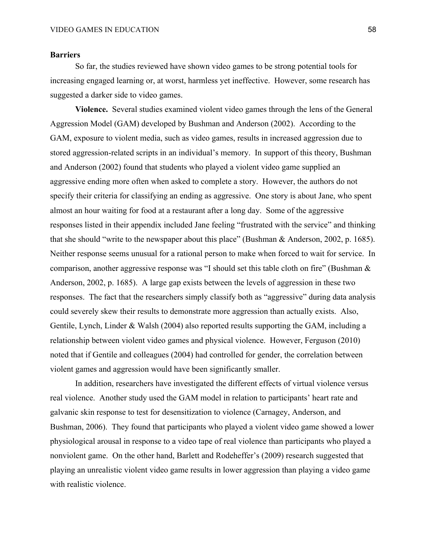## **Barriers**

So far, the studies reviewed have shown video games to be strong potential tools for increasing engaged learning or, at worst, harmless yet ineffective. However, some research has suggested a darker side to video games.

**Violence.** Several studies examined violent video games through the lens of the General Aggression Model (GAM) developed by Bushman and Anderson (2002). According to the GAM, exposure to violent media, such as video games, results in increased aggression due to stored aggression-related scripts in an individual's memory. In support of this theory, Bushman and Anderson (2002) found that students who played a violent video game supplied an aggressive ending more often when asked to complete a story. However, the authors do not specify their criteria for classifying an ending as aggressive. One story is about Jane, who spent almost an hour waiting for food at a restaurant after a long day. Some of the aggressive responses listed in their appendix included Jane feeling "frustrated with the service" and thinking that she should "write to the newspaper about this place" (Bushman & Anderson, 2002, p. 1685). Neither response seems unusual for a rational person to make when forced to wait for service. In comparison, another aggressive response was "I should set this table cloth on fire" (Bushman & Anderson, 2002, p. 1685). A large gap exists between the levels of aggression in these two responses. The fact that the researchers simply classify both as "aggressive" during data analysis could severely skew their results to demonstrate more aggression than actually exists. Also, Gentile, Lynch, Linder & Walsh (2004) also reported results supporting the GAM, including a relationship between violent video games and physical violence. However, Ferguson (2010) noted that if Gentile and colleagues (2004) had controlled for gender, the correlation between violent games and aggression would have been significantly smaller.

In addition, researchers have investigated the different effects of virtual violence versus real violence. Another study used the GAM model in relation to participants' heart rate and galvanic skin response to test for desensitization to violence (Carnagey, Anderson, and Bushman, 2006). They found that participants who played a violent video game showed a lower physiological arousal in response to a video tape of real violence than participants who played a nonviolent game. On the other hand, Barlett and Rodeheffer's (2009) research suggested that playing an unrealistic violent video game results in lower aggression than playing a video game with realistic violence.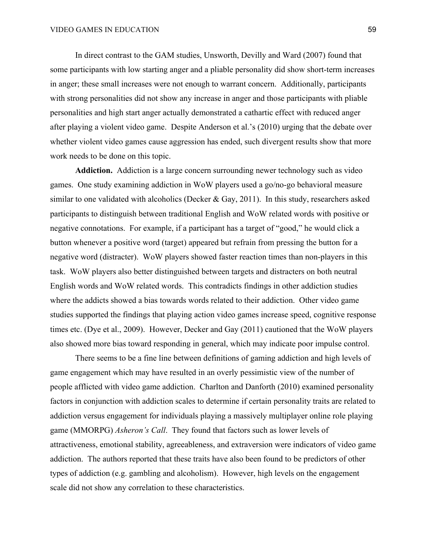In direct contrast to the GAM studies, Unsworth, Devilly and Ward (2007) found that some participants with low starting anger and a pliable personality did show short-term increases in anger; these small increases were not enough to warrant concern. Additionally, participants with strong personalities did not show any increase in anger and those participants with pliable personalities and high start anger actually demonstrated a cathartic effect with reduced anger after playing a violent video game. Despite Anderson et al.'s (2010) urging that the debate over whether violent video games cause aggression has ended, such divergent results show that more work needs to be done on this topic.

**Addiction.** Addiction is a large concern surrounding newer technology such as video games. One study examining addiction in WoW players used a go/no-go behavioral measure similar to one validated with alcoholics (Decker  $& Gay, 2011$ ). In this study, researchers asked participants to distinguish between traditional English and WoW related words with positive or negative connotations. For example, if a participant has a target of "good," he would click a button whenever a positive word (target) appeared but refrain from pressing the button for a negative word (distracter). WoW players showed faster reaction times than non-players in this task. WoW players also better distinguished between targets and distracters on both neutral English words and WoW related words. This contradicts findings in other addiction studies where the addicts showed a bias towards words related to their addiction. Other video game studies supported the findings that playing action video games increase speed, cognitive response times etc. (Dye et al., 2009). However, Decker and Gay (2011) cautioned that the WoW players also showed more bias toward responding in general, which may indicate poor impulse control.

There seems to be a fine line between definitions of gaming addiction and high levels of game engagement which may have resulted in an overly pessimistic view of the number of people afflicted with video game addiction. Charlton and Danforth (2010) examined personality factors in conjunction with addiction scales to determine if certain personality traits are related to addiction versus engagement for individuals playing a massively multiplayer online role playing game (MMORPG) *Asheron's Call*. They found that factors such as lower levels of attractiveness, emotional stability, agreeableness, and extraversion were indicators of video game addiction. The authors reported that these traits have also been found to be predictors of other types of addiction (e.g. gambling and alcoholism). However, high levels on the engagement scale did not show any correlation to these characteristics.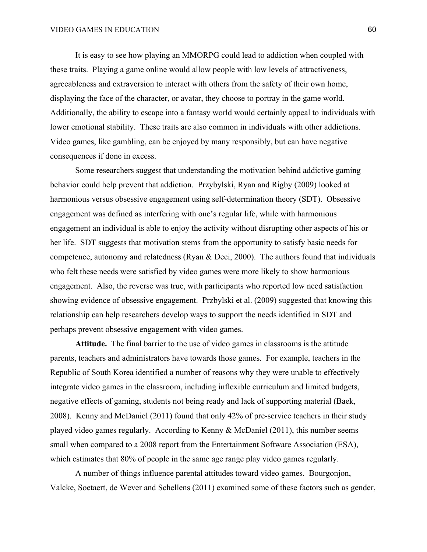It is easy to see how playing an MMORPG could lead to addiction when coupled with these traits. Playing a game online would allow people with low levels of attractiveness, agreeableness and extraversion to interact with others from the safety of their own home, displaying the face of the character, or avatar, they choose to portray in the game world. Additionally, the ability to escape into a fantasy world would certainly appeal to individuals with lower emotional stability. These traits are also common in individuals with other addictions. Video games, like gambling, can be enjoyed by many responsibly, but can have negative consequences if done in excess.

Some researchers suggest that understanding the motivation behind addictive gaming behavior could help prevent that addiction. Przybylski, Ryan and Rigby (2009) looked at harmonious versus obsessive engagement using self-determination theory (SDT). Obsessive engagement was defined as interfering with one's regular life, while with harmonious engagement an individual is able to enjoy the activity without disrupting other aspects of his or her life. SDT suggests that motivation stems from the opportunity to satisfy basic needs for competence, autonomy and relatedness (Ryan & Deci, 2000). The authors found that individuals who felt these needs were satisfied by video games were more likely to show harmonious engagement. Also, the reverse was true, with participants who reported low need satisfaction showing evidence of obsessive engagement. Przbylski et al. (2009) suggested that knowing this relationship can help researchers develop ways to support the needs identified in SDT and perhaps prevent obsessive engagement with video games.

**Attitude.** The final barrier to the use of video games in classrooms is the attitude parents, teachers and administrators have towards those games. For example, teachers in the Republic of South Korea identified a number of reasons why they were unable to effectively integrate video games in the classroom, including inflexible curriculum and limited budgets, negative effects of gaming, students not being ready and lack of supporting material (Baek, 2008). Kenny and McDaniel (2011) found that only 42% of pre-service teachers in their study played video games regularly. According to Kenny & McDaniel (2011), this number seems small when compared to a 2008 report from the Entertainment Software Association (ESA), which estimates that 80% of people in the same age range play video games regularly.

A number of things influence parental attitudes toward video games. Bourgonjon, Valcke, Soetaert, de Wever and Schellens (2011) examined some of these factors such as gender,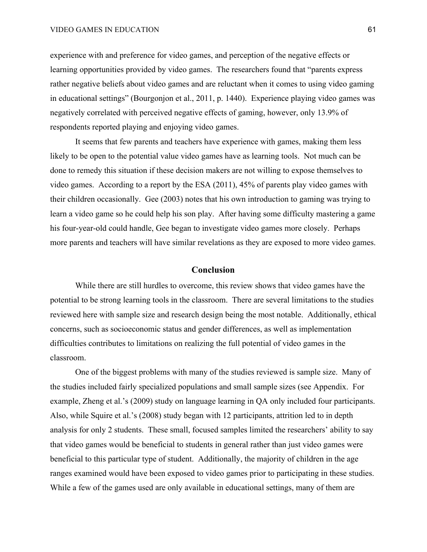experience with and preference for video games, and perception of the negative effects or learning opportunities provided by video games. The researchers found that "parents express rather negative beliefs about video games and are reluctant when it comes to using video gaming in educational settings" (Bourgonjon et al., 2011, p. 1440). Experience playing video games was negatively correlated with perceived negative effects of gaming, however, only 13.9% of respondents reported playing and enjoying video games.

It seems that few parents and teachers have experience with games, making them less likely to be open to the potential value video games have as learning tools. Not much can be done to remedy this situation if these decision makers are not willing to expose themselves to video games. According to a report by the ESA (2011), 45% of parents play video games with their children occasionally. Gee (2003) notes that his own introduction to gaming was trying to learn a video game so he could help his son play. After having some difficulty mastering a game his four-year-old could handle, Gee began to investigate video games more closely. Perhaps more parents and teachers will have similar revelations as they are exposed to more video games.

## **Conclusion**

While there are still hurdles to overcome, this review shows that video games have the potential to be strong learning tools in the classroom. There are several limitations to the studies reviewed here with sample size and research design being the most notable. Additionally, ethical concerns, such as socioeconomic status and gender differences, as well as implementation difficulties contributes to limitations on realizing the full potential of video games in the classroom.

One of the biggest problems with many of the studies reviewed is sample size. Many of the studies included fairly specialized populations and small sample sizes (see Appendix. For example, Zheng et al.'s (2009) study on language learning in QA only included four participants. Also, while Squire et al.'s (2008) study began with 12 participants, attrition led to in depth analysis for only 2 students. These small, focused samples limited the researchers' ability to say that video games would be beneficial to students in general rather than just video games were beneficial to this particular type of student. Additionally, the majority of children in the age ranges examined would have been exposed to video games prior to participating in these studies. While a few of the games used are only available in educational settings, many of them are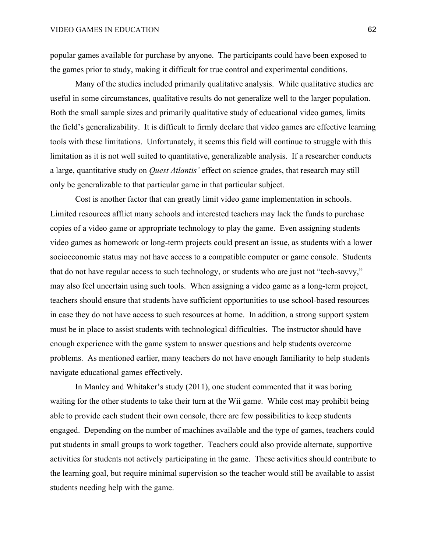popular games available for purchase by anyone. The participants could have been exposed to the games prior to study, making it difficult for true control and experimental conditions.

Many of the studies included primarily qualitative analysis. While qualitative studies are useful in some circumstances, qualitative results do not generalize well to the larger population. Both the small sample sizes and primarily qualitative study of educational video games, limits the field's generalizability. It is difficult to firmly declare that video games are effective learning tools with these limitations. Unfortunately, it seems this field will continue to struggle with this limitation as it is not well suited to quantitative, generalizable analysis. If a researcher conducts a large, quantitative study on *Quest Atlantis'* effect on science grades, that research may still only be generalizable to that particular game in that particular subject.

Cost is another factor that can greatly limit video game implementation in schools. Limited resources afflict many schools and interested teachers may lack the funds to purchase copies of a video game or appropriate technology to play the game. Even assigning students video games as homework or long-term projects could present an issue, as students with a lower socioeconomic status may not have access to a compatible computer or game console. Students that do not have regular access to such technology, or students who are just not "tech-savvy," may also feel uncertain using such tools. When assigning a video game as a long-term project, teachers should ensure that students have sufficient opportunities to use school-based resources in case they do not have access to such resources at home. In addition, a strong support system must be in place to assist students with technological difficulties. The instructor should have enough experience with the game system to answer questions and help students overcome problems. As mentioned earlier, many teachers do not have enough familiarity to help students navigate educational games effectively.

In Manley and Whitaker's study (2011), one student commented that it was boring waiting for the other students to take their turn at the Wii game. While cost may prohibit being able to provide each student their own console, there are few possibilities to keep students engaged. Depending on the number of machines available and the type of games, teachers could put students in small groups to work together. Teachers could also provide alternate, supportive activities for students not actively participating in the game. These activities should contribute to the learning goal, but require minimal supervision so the teacher would still be available to assist students needing help with the game.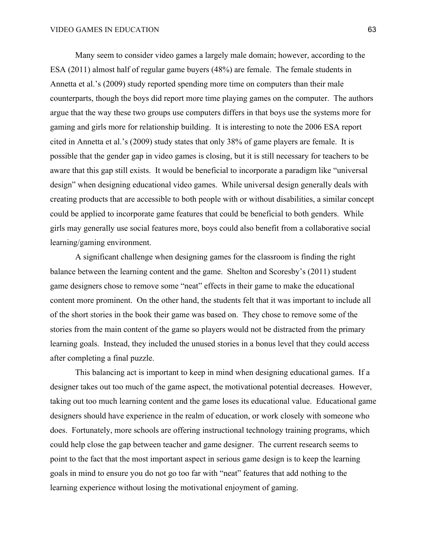Many seem to consider video games a largely male domain; however, according to the ESA (2011) almost half of regular game buyers (48%) are female. The female students in Annetta et al.'s (2009) study reported spending more time on computers than their male counterparts, though the boys did report more time playing games on the computer. The authors argue that the way these two groups use computers differs in that boys use the systems more for gaming and girls more for relationship building. It is interesting to note the 2006 ESA report cited in Annetta et al.'s (2009) study states that only 38% of game players are female. It is possible that the gender gap in video games is closing, but it is still necessary for teachers to be aware that this gap still exists. It would be beneficial to incorporate a paradigm like "universal design" when designing educational video games. While universal design generally deals with creating products that are accessible to both people with or without disabilities, a similar concept could be applied to incorporate game features that could be beneficial to both genders. While girls may generally use social features more, boys could also benefit from a collaborative social learning/gaming environment.

A significant challenge when designing games for the classroom is finding the right balance between the learning content and the game. Shelton and Scoresby's (2011) student game designers chose to remove some "neat" effects in their game to make the educational content more prominent. On the other hand, the students felt that it was important to include all of the short stories in the book their game was based on. They chose to remove some of the stories from the main content of the game so players would not be distracted from the primary learning goals. Instead, they included the unused stories in a bonus level that they could access after completing a final puzzle.

This balancing act is important to keep in mind when designing educational games. If a designer takes out too much of the game aspect, the motivational potential decreases. However, taking out too much learning content and the game loses its educational value. Educational game designers should have experience in the realm of education, or work closely with someone who does. Fortunately, more schools are offering instructional technology training programs, which could help close the gap between teacher and game designer. The current research seems to point to the fact that the most important aspect in serious game design is to keep the learning goals in mind to ensure you do not go too far with "neat" features that add nothing to the learning experience without losing the motivational enjoyment of gaming.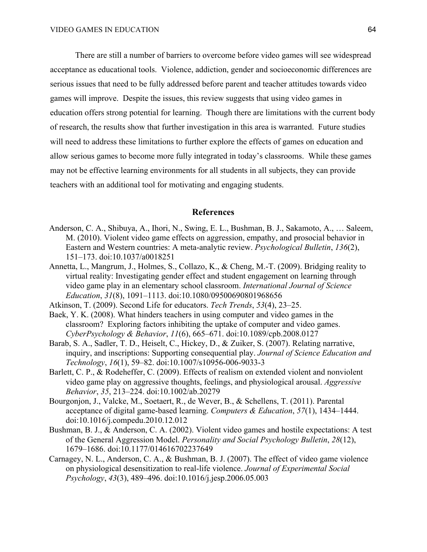There are still a number of barriers to overcome before video games will see widespread acceptance as educational tools. Violence, addiction, gender and socioeconomic differences are serious issues that need to be fully addressed before parent and teacher attitudes towards video games will improve. Despite the issues, this review suggests that using video games in education offers strong potential for learning. Though there are limitations with the current body of research, the results show that further investigation in this area is warranted. Future studies will need to address these limitations to further explore the effects of games on education and allow serious games to become more fully integrated in today's classrooms. While these games may not be effective learning environments for all students in all subjects, they can provide teachers with an additional tool for motivating and engaging students.

## **References**

- Anderson, C. A., Shibuya, A., Ihori, N., Swing, E. L., Bushman, B. J., Sakamoto, A., … Saleem, M. (2010). Violent video game effects on aggression, empathy, and prosocial behavior in Eastern and Western countries: A meta-analytic review. *Psychological Bulletin*, *136*(2), 151–173. doi:10.1037/a0018251
- Annetta, L., Mangrum, J., Holmes, S., Collazo, K., & Cheng, M.-T. (2009). Bridging reality to virtual reality: Investigating gender effect and student engagement on learning through video game play in an elementary school classroom. *International Journal of Science Education*, *31*(8), 1091–1113. doi:10.1080/09500690801968656
- Atkinson, T. (2009). Second Life for educators. *Tech Trends*, *53*(4), 23–25.
- Baek, Y. K. (2008). What hinders teachers in using computer and video games in the classroom? Exploring factors inhibiting the uptake of computer and video games. *CyberPsychology & Behavior*, *11*(6), 665–671. doi:10.1089/cpb.2008.0127
- Barab, S. A., Sadler, T. D., Heiselt, C., Hickey, D., & Zuiker, S. (2007). Relating narrative, inquiry, and inscriptions: Supporting consequential play. *Journal of Science Education and Technology*, *16*(1), 59–82. doi:10.1007/s10956-006-9033-3
- Barlett, C. P., & Rodeheffer, C. (2009). Effects of realism on extended violent and nonviolent video game play on aggressive thoughts, feelings, and physiological arousal. *Aggressive Behavior*, *35*, 213–224. doi:10.1002/ab.20279
- Bourgonjon, J., Valcke, M., Soetaert, R., de Wever, B., & Schellens, T. (2011). Parental acceptance of digital game-based learning. *Computers & Education*, *57*(1), 1434–1444. doi:10.1016/j.compedu.2010.12.012
- Bushman, B. J., & Anderson, C. A. (2002). Violent video games and hostile expectations: A test of the General Aggression Model. *Personality and Social Psychology Bulletin*, *28*(12), 1679–1686. doi:10.1177/014616702237649
- Carnagey, N. L., Anderson, C. A., & Bushman, B. J. (2007). The effect of video game violence on physiological desensitization to real-life violence. *Journal of Experimental Social Psychology*, *43*(3), 489–496. doi:10.1016/j.jesp.2006.05.003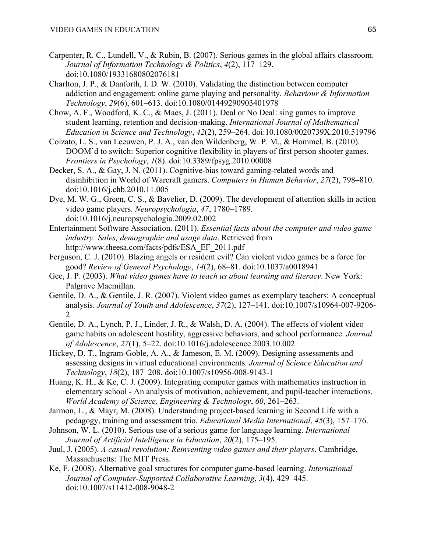- Carpenter, R. C., Lundell, V., & Rubin, B. (2007). Serious games in the global affairs classroom. *Journal of Information Technology & Politics*, *4*(2), 117–129. doi:10.1080/19331680802076181
- Charlton, J. P., & Danforth, I. D. W. (2010). Validating the distinction between computer addiction and engagement: online game playing and personality. *Behaviour & Information Technology*, *29*(6), 601–613. doi:10.1080/01449290903401978
- Chow, A. F., Woodford, K. C., & Maes, J. (2011). Deal or No Deal: sing games to improve student learning, retention and decision-making. *International Journal of Mathematical Education in Science and Technology*, *42*(2), 259–264. doi:10.1080/0020739X.2010.519796
- Colzato, L. S., van Leeuwen, P. J. A., van den Wildenberg, W. P. M., & Hommel, B. (2010). DOOM'd to switch: Superior cognitive flexibility in players of first person shooter games. *Frontiers in Psychology*, *1*(8). doi:10.3389/fpsyg.2010.00008
- Decker, S. A., & Gay, J. N. (2011). Cognitive-bias toward gaming-related words and disinhibition in World of Warcraft gamers. *Computers in Human Behavior*, *27*(2), 798–810. doi:10.1016/j.chb.2010.11.005
- Dye, M. W. G., Green, C. S., & Bavelier, D. (2009). The development of attention skills in action video game players. *Neuropsychologia*, *47*, 1780–1789. doi:10.1016/j.neuropsychologia.2009.02.002
- Entertainment Software Association. (2011). *Essential facts about the computer and video game industry: Sales, demographic and usage data*. Retrieved from http://www.theesa.com/facts/pdfs/ESA\_EF\_2011.pdf
- Ferguson, C. J. (2010). Blazing angels or resident evil? Can violent video games be a force for good? *Review of General Psychology*, *14*(2), 68–81. doi:10.1037/a0018941
- Gee, J. P. (2003). *What video games have to teach us about learning and literacy*. New York: Palgrave Macmillan.
- Gentile, D. A., & Gentile, J. R. (2007). Violent video games as exemplary teachers: A conceptual analysis. *Journal of Youth and Adolescence*, *37*(2), 127–141. doi:10.1007/s10964-007-9206- 2
- Gentile, D. A., Lynch, P. J., Linder, J. R., & Walsh, D. A. (2004). The effects of violent video game habits on adolescent hostility, aggressive behaviors, and school performance. *Journal of Adolescence*, *27*(1), 5–22. doi:10.1016/j.adolescence.2003.10.002
- Hickey, D. T., Ingram-Goble, A. A., & Jameson, E. M. (2009). Designing assessments and assessing designs in virtual educational environments. *Journal of Science Education and Technology*, *18*(2), 187–208. doi:10.1007/s10956-008-9143-1
- Huang, K. H., & Ke, C. J. (2009). Integrating computer games with mathematics instruction in elementary school - An analysis of motivation, achievement, and pupil-teacher interactions. *World Academy of Science, Engineering & Technology*, *60*, 261–263.
- Jarmon, L., & Mayr, M. (2008). Understanding project-based learning in Second Life with a pedagogy, training and assessment trio. *Educational Media International*, *45*(3), 157–176.
- Johnson, W. L. (2010). Serious use of a serious game for language learning. *International Journal of Artificial Intelligence in Education*, *20*(2), 175–195.
- Juul, J. (2005). *A casual revolution: Reinventing video games and their players*. Cambridge, Massachusetts: The MIT Press.
- Ke, F. (2008). Alternative goal structures for computer game-based learning. *International Journal of Computer-Supported Collaborative Learning*, *3*(4), 429–445. doi:10.1007/s11412-008-9048-2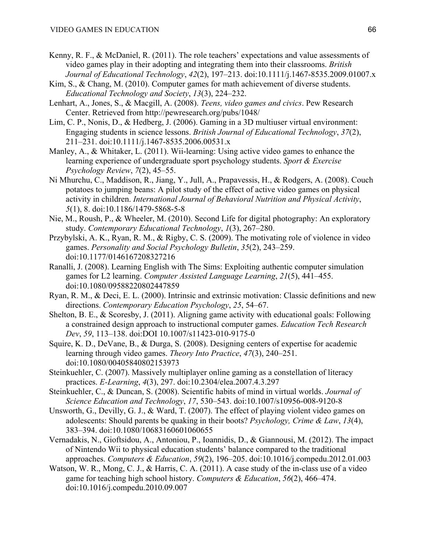- Kenny, R. F., & McDaniel, R. (2011). The role teachers' expectations and value assessments of video games play in their adopting and integrating them into their classrooms. *British Journal of Educational Technology*, *42*(2), 197–213. doi:10.1111/j.1467-8535.2009.01007.x
- Kim, S., & Chang, M. (2010). Computer games for math achievement of diverse students. *Educational Technology and Society*, *13*(3), 224–232.
- Lenhart, A., Jones, S., & Macgill, A. (2008). *Teens, video games and civics*. Pew Research Center. Retrieved from http://pewresearch.org/pubs/1048/
- Lim, C. P., Nonis, D., & Hedberg, J. (2006). Gaming in a 3D multiuser virtual environment: Engaging students in science lessons. *British Journal of Educational Technology*, *37*(2), 211–231. doi:10.1111/j.1467-8535.2006.00531.x
- Manley, A., & Whitaker, L. (2011). Wii-learning: Using active video games to enhance the learning experience of undergraduate sport psychology students. *Sport & Exercise Psychology Review*, *7*(2), 45–55.
- Ni Mhurchu, C., Maddison, R., Jiang, Y., Jull, A., Prapavessis, H., & Rodgers, A. (2008). Couch potatoes to jumping beans: A pilot study of the effect of active video games on physical activity in children. *International Journal of Behavioral Nutrition and Physical Activity*, *5*(1), 8. doi:10.1186/1479-5868-5-8
- Nie, M., Roush, P., & Wheeler, M. (2010). Second Life for digital photography: An exploratory study. *Contemporary Educational Technology*, *1*(3), 267–280.
- Przybylski, A. K., Ryan, R. M., & Rigby, C. S. (2009). The motivating role of violence in video games. *Personality and Social Psychology Bulletin*, *35*(2), 243–259. doi:10.1177/0146167208327216
- Ranalli, J. (2008). Learning English with The Sims: Exploiting authentic computer simulation games for L2 learning. *Computer Assisted Language Learning*, *21*(5), 441–455. doi:10.1080/09588220802447859
- Ryan, R. M., & Deci, E. L. (2000). Intrinsic and extrinsic motivation: Classic definitions and new directions. *Contemporary Education Psychology*, *25*, 54–67.
- Shelton, B. E., & Scoresby, J. (2011). Aligning game activity with educational goals: Following a constrained design approach to instructional computer games. *Education Tech Research Dev*, *59*, 113–138. doi:DOI 10.1007/s11423-010-9175-0
- Squire, K. D., DeVane, B., & Durga, S. (2008). Designing centers of expertise for academic learning through video games. *Theory Into Practice*, *47*(3), 240–251. doi:10.1080/00405840802153973
- Steinkuehler, C. (2007). Massively multiplayer online gaming as a constellation of literacy practices. *E-Learning*, *4*(3), 297. doi:10.2304/elea.2007.4.3.297
- Steinkuehler, C., & Duncan, S. (2008). Scientific habits of mind in virtual worlds. *Journal of Science Education and Technology*, *17*, 530–543. doi:10.1007/s10956-008-9120-8
- Unsworth, G., Devilly, G. J., & Ward, T. (2007). The effect of playing violent video games on adolescents: Should parents be quaking in their boots? *Psychology, Crime & Law*, *13*(4), 383–394. doi:10.1080/10683160601060655
- Vernadakis, N., Gioftsidou, A., Antoniou, P., Ioannidis, D., & Giannousi, M. (2012). The impact of Nintendo Wii to physical education students' balance compared to the traditional approaches. *Computers & Education*, *59*(2), 196–205. doi:10.1016/j.compedu.2012.01.003
- Watson, W. R., Mong, C. J., & Harris, C. A. (2011). A case study of the in-class use of a video game for teaching high school history. *Computers & Education*, *56*(2), 466–474. doi:10.1016/j.compedu.2010.09.007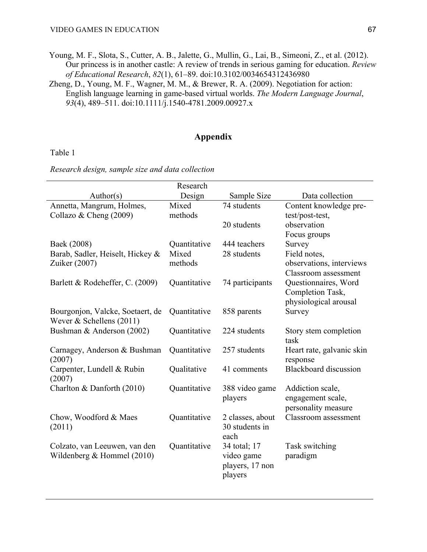- Young, M. F., Slota, S., Cutter, A. B., Jalette, G., Mullin, G., Lai, B., Simeoni, Z., et al. (2012). Our princess is in another castle: A review of trends in serious gaming for education. *Review of Educational Research*, *82*(1), 61–89. doi:10.3102/0034654312436980
- Zheng, D., Young, M. F., Wagner, M. M., & Brewer, R. A. (2009). Negotiation for action: English language learning in game-based virtual worlds. *The Modern Language Journal*, *93*(4), 489–511. doi:10.1111/j.1540-4781.2009.00927.x

# **Appendix**

Table 1

*Research design, sample size and data collection* 

|                                  | Research     |                                    |                                             |
|----------------------------------|--------------|------------------------------------|---------------------------------------------|
| Author(s)                        | Design       | Sample Size                        | Data collection                             |
| Annetta, Mangrum, Holmes,        | Mixed        | 74 students                        | Content knowledge pre-                      |
| Collazo & Cheng $(2009)$         | methods      |                                    | test/post-test,                             |
|                                  |              | 20 students                        | observation                                 |
|                                  |              |                                    | Focus groups                                |
| Baek (2008)                      | Quantitative | 444 teachers                       | Survey                                      |
| Barab, Sadler, Heiselt, Hickey & | Mixed        | 28 students                        | Field notes,                                |
| Zuiker (2007)                    | methods      |                                    | observations, interviews                    |
|                                  |              |                                    | Classroom assessment                        |
| Barlett & Rodeheffer, C. (2009)  | Quantitative | 74 participants                    | Questionnaires, Word                        |
|                                  |              |                                    | Completion Task,                            |
|                                  |              |                                    | physiological arousal                       |
| Bourgonjon, Valcke, Soetaert, de | Quantitative | 858 parents                        | Survey                                      |
| Wever $&$ Schellens (2011)       |              |                                    |                                             |
| Bushman & Anderson (2002)        | Quantitative | 224 students                       | Story stem completion                       |
|                                  |              |                                    | task                                        |
| Carnagey, Anderson & Bushman     | Quantitative | 257 students                       | Heart rate, galvanic skin                   |
| (2007)                           |              |                                    | response                                    |
| Carpenter, Lundell & Rubin       | Qualitative  | 41 comments                        | <b>Blackboard</b> discussion                |
| (2007)                           |              |                                    |                                             |
| Charlton & Danforth (2010)       | Quantitative | 388 video game                     | Addiction scale,                            |
|                                  |              | players                            | engagement scale,                           |
|                                  |              |                                    | personality measure<br>Classroom assessment |
| Chow, Woodford & Maes            | Quantitative | 2 classes, about<br>30 students in |                                             |
| (2011)                           |              | each                               |                                             |
|                                  | Quantitative |                                    |                                             |
| Colzato, van Leeuwen, van den    |              | 34 total; 17<br>video game         | Task switching<br>paradigm                  |
| Wildenberg & Hommel (2010)       |              |                                    |                                             |
|                                  |              | players, 17 non<br>players         |                                             |
|                                  |              |                                    |                                             |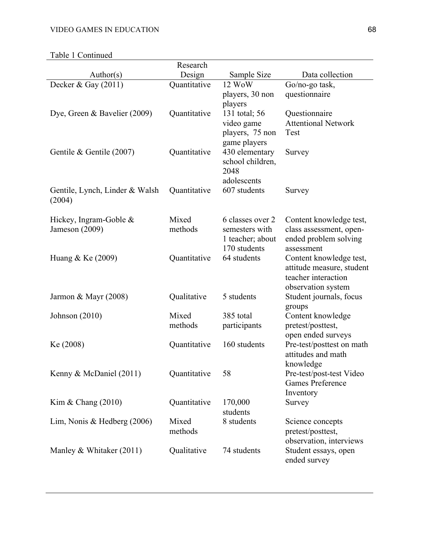Table 1 Continued

| radie i Communeu                              |              |                  |                                                    |
|-----------------------------------------------|--------------|------------------|----------------------------------------------------|
|                                               | Research     |                  |                                                    |
| Author(s)                                     | Design       | Sample Size      | Data collection                                    |
| Decker & Gay $(2011)$                         | Quantitative | 12 WoW           | Go/no-go task,                                     |
|                                               |              | players, 30 non  | questionnaire                                      |
|                                               |              | players          |                                                    |
| Dye, Green & Bavelier (2009)                  | Quantitative | 131 total; 56    | Questionnaire                                      |
|                                               |              | video game       | <b>Attentional Network</b>                         |
|                                               |              | players, 75 non  | Test                                               |
|                                               |              | game players     |                                                    |
| Gentile & Gentile (2007)                      | Quantitative | 430 elementary   | Survey                                             |
|                                               |              | school children, |                                                    |
|                                               |              | 2048             |                                                    |
|                                               |              | adolescents      |                                                    |
| Gentile, Lynch, Linder & Walsh                | Quantitative | 607 students     | Survey                                             |
| (2004)                                        |              |                  |                                                    |
|                                               | Mixed        | 6 classes over 2 |                                                    |
| Hickey, Ingram-Goble $\&$<br>Jameson $(2009)$ | methods      | semesters with   | Content knowledge test,<br>class assessment, open- |
|                                               |              | 1 teacher; about | ended problem solving                              |
|                                               |              | 170 students     | assessment                                         |
| Huang & Ke $(2009)$                           | Quantitative | 64 students      | Content knowledge test,                            |
|                                               |              |                  | attitude measure, student                          |
|                                               |              |                  | teacher interaction                                |
|                                               |              |                  | observation system                                 |
| Jarmon & Mayr $(2008)$                        | Qualitative  | 5 students       | Student journals, focus                            |
|                                               |              |                  | groups                                             |
| Johnson (2010)                                | Mixed        | 385 total        | Content knowledge                                  |
|                                               | methods      | participants     | pretest/posttest,                                  |
|                                               |              |                  | open ended surveys                                 |
| Ke (2008)                                     | Quantitative | 160 students     | Pre-test/posttest on math                          |
|                                               |              |                  | attitudes and math                                 |
|                                               |              |                  | knowledge                                          |
| Kenny & McDaniel (2011)                       | Quantitative | 58               | Pre-test/post-test Video                           |
|                                               |              |                  | <b>Games Preference</b>                            |
|                                               |              |                  | Inventory                                          |
| Kim & Chang $(2010)$                          | Quantitative | 170,000          | Survey                                             |
|                                               |              | students         |                                                    |
| Lim, Nonis & Hedberg $(2006)$                 | Mixed        | 8 students       | Science concepts                                   |
|                                               | methods      |                  | pretest/posttest,                                  |
|                                               |              |                  | observation, interviews                            |
| Manley & Whitaker (2011)                      | Qualitative  | 74 students      | Student essays, open                               |
|                                               |              |                  | ended survey                                       |